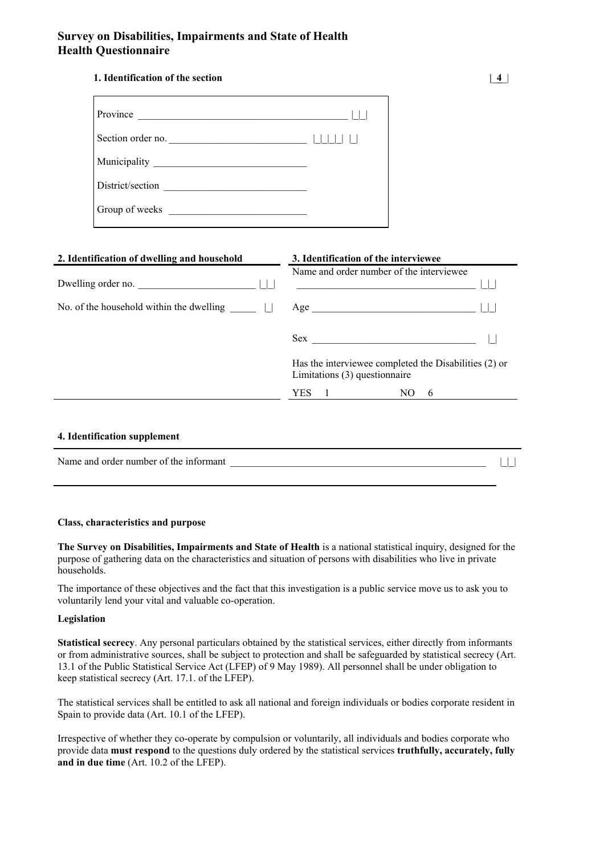# **Survey on Disabilities, Impairments and State of Health Health Questionnaire**

# **1. Identification of the section |**\_**4**\_|

| Province<br><u> 1980 - Andrea Albert III, poet e poet a provincia e a provincia e a provincia e a provincia e a provincia e</u> |  |
|---------------------------------------------------------------------------------------------------------------------------------|--|
| Section order no.                                                                                                               |  |
|                                                                                                                                 |  |
| District/section                                                                                                                |  |
|                                                                                                                                 |  |

| 2. Identification of dwelling and household | 3. Identification of the interviewee                                                   |  |  |  |
|---------------------------------------------|----------------------------------------------------------------------------------------|--|--|--|
| Dwelling order no.                          | Name and order number of the interviewee                                               |  |  |  |
| No. of the household within the dwelling    |                                                                                        |  |  |  |
|                                             | $Sex$ and $\overline{\phantom{a}}$                                                     |  |  |  |
|                                             | Has the interviewee completed the Disabilities (2) or<br>Limitations (3) questionnaire |  |  |  |
|                                             | YES<br>NO.<br>$\Box$<br>-6                                                             |  |  |  |

# **4. Identification supplement**

| Name and order number of the informant |  |
|----------------------------------------|--|
|                                        |  |

### **Class, characteristics and purpose**

**The Survey on Disabilities, Impairments and State of Health** is a national statistical inquiry, designed for the purpose of gathering data on the characteristics and situation of persons with disabilities who live in private households.

The importance of these objectives and the fact that this investigation is a public service move us to ask you to voluntarily lend your vital and valuable co-operation.

# **Legislation**

**Statistical secrecy**. Any personal particulars obtained by the statistical services, either directly from informants or from administrative sources, shall be subject to protection and shall be safeguarded by statistical secrecy (Art. 13.1 of the Public Statistical Service Act (LFEP) of 9 May 1989). All personnel shall be under obligation to keep statistical secrecy (Art. 17.1. of the LFEP).

The statistical services shall be entitled to ask all national and foreign individuals or bodies corporate resident in Spain to provide data (Art. 10.1 of the LFEP).

Irrespective of whether they co-operate by compulsion or voluntarily, all individuals and bodies corporate who provide data **must respond** to the questions duly ordered by the statistical services **truthfully, accurately, fully and in due time** (Art. 10.2 of the LFEP).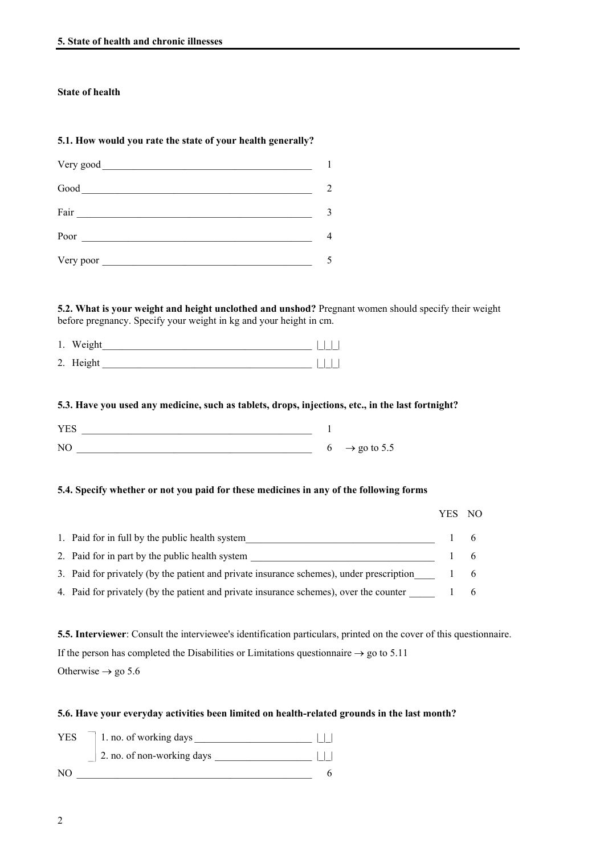# **State of health**

# **5.1. How would you rate the state of your health generally?**

| Good      | 2 |
|-----------|---|
| Fair      |   |
|           | 4 |
| Very poor |   |

# **5.2. What is your weight and height unclothed and unshod?** Pregnant women should specify their weight before pregnancy. Specify your weight in kg and your height in cm.

| 1. Weight |  |  |
|-----------|--|--|
| 2. Height |  |  |

# **5.3. Have you used any medicine, such as tablets, drops, injections, etc., in the last fortnight?**

| VE <sub>c</sub> |          |                         |
|-----------------|----------|-------------------------|
| N <sub>O</sub>  | $\sigma$ | $\rightarrow$ go to 5.5 |

### **5.4. Specify whether or not you paid for these medicines in any of the following forms**

|                                                                                          | - NO        |
|------------------------------------------------------------------------------------------|-------------|
| 1. Paid for in full by the public health system                                          | _ 6         |
| 2. Paid for in part by the public health system                                          | $\sigma$    |
| 3. Paid for privately (by the patient and private insurance schemes), under prescription | $6^{\circ}$ |
| 4. Paid for privately (by the patient and private insurance schemes), over the counter   | $\sigma$    |

**5.5. Interviewer**: Consult the interviewee's identification particulars, printed on the cover of this questionnaire. If the person has completed the Disabilities or Limitations questionnaire  $\rightarrow$  go to 5.11 Otherwise  $\rightarrow$  go 5.6

# **5.6. Have your everyday activities been limited on health-related grounds in the last month?**

| <b>YES</b> | 1. no. of working days     |  |
|------------|----------------------------|--|
|            | 2. no. of non-working days |  |
| NO.        |                            |  |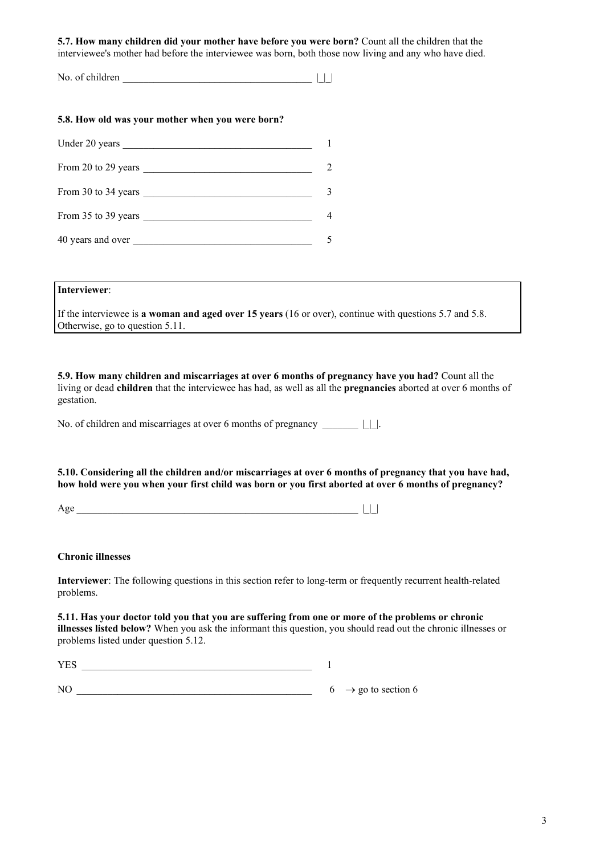**5.7. How many children did your mother have before you were born?** Count all the children that the interviewee's mother had before the interviewee was born, both those now living and any who have died.

| No. of children |  |  |  |
|-----------------|--|--|--|
|-----------------|--|--|--|

# **5.8. How old was your mother when you were born?**

| Under 20 years      |   |
|---------------------|---|
| From 20 to 29 years | 2 |
| From 30 to 34 years | 3 |
| From 35 to 39 years |   |
| 40 years and over   |   |

# **Interviewer**:

If the interviewee is **a woman and aged over 15 years** (16 or over), continue with questions 5.7 and 5.8. Otherwise, go to question 5.11.

**5.9. How many children and miscarriages at over 6 months of pregnancy have you had?** Count all the living or dead **children** that the interviewee has had, as well as all the **pregnancies** aborted at over 6 months of gestation.

No. of children and miscarriages at over 6 months of pregnancy \_\_\_\_\_\_\_ |\_|\_|.

**5.10. Considering all the children and/or miscarriages at over 6 months of pregnancy that you have had, how hold were you when your first child was born or you first aborted at over 6 months of pregnancy?**

|--|--|--|

# **Chronic illnesses**

**Interviewer**: The following questions in this section refer to long-term or frequently recurrent health-related problems.

**5.11. Has your doctor told you that you are suffering from one or more of the problems or chronic illnesses listed below?** When you ask the informant this question, you should read out the chronic illnesses or problems listed under question 5.12.

| YES |  |                                 |
|-----|--|---------------------------------|
|     |  |                                 |
| NO. |  | $6 \rightarrow$ go to section 6 |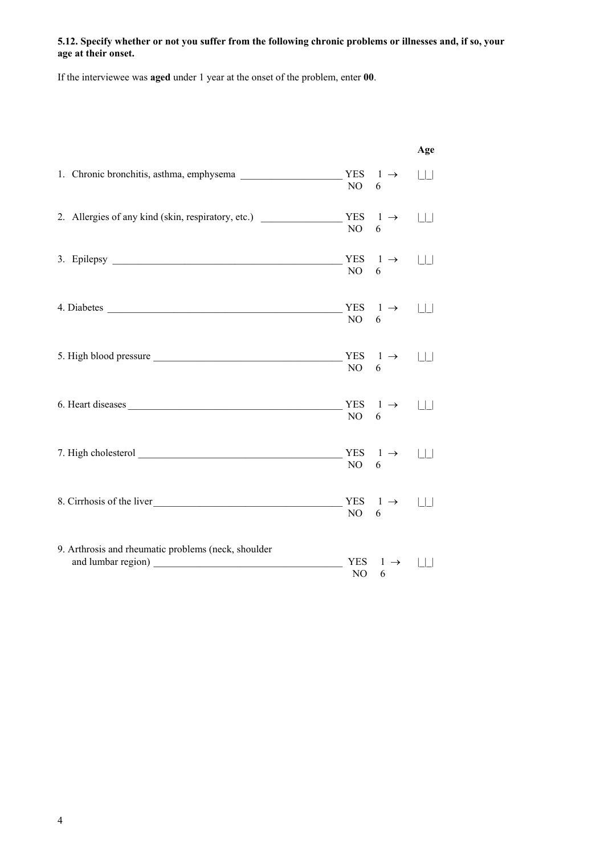# **5.12. Specify whether or not you suffer from the following chronic problems or illnesses and, if so, your age at their onset.**

If the interviewee was **aged** under 1 year at the onset of the problem, enter **00**.

|                                                     |                  |                           | Age    |
|-----------------------------------------------------|------------------|---------------------------|--------|
| 1. Chronic bronchitis, asthma, emphysema            | NO               | YES $1 \rightarrow$<br>6  | $\Box$ |
| 2. Allergies of any kind (skin, respiratory, etc.)  | NO               | YES $1 \rightarrow$<br>6  | $\Box$ |
| 3. Epilepsy                                         | NO               | YES $1 \rightarrow$<br>6  | $\Box$ |
|                                                     | NO               | YES $1 \rightarrow$<br>6  |        |
|                                                     | NO               | YES $1 \rightarrow$<br>6  | $\Box$ |
| 6. Heart diseases                                   | NO               | YES $1 \rightarrow$<br>6  | $\Box$ |
|                                                     | NO               | YES $1 \rightarrow$<br>6  |        |
| 8. Cirrhosis of the liver                           | NO               | YES $1 \rightarrow$<br>6  | $\Box$ |
| 9. Arthrosis and rheumatic problems (neck, shoulder | <b>YES</b><br>NO | $\vdash \rightarrow$<br>6 |        |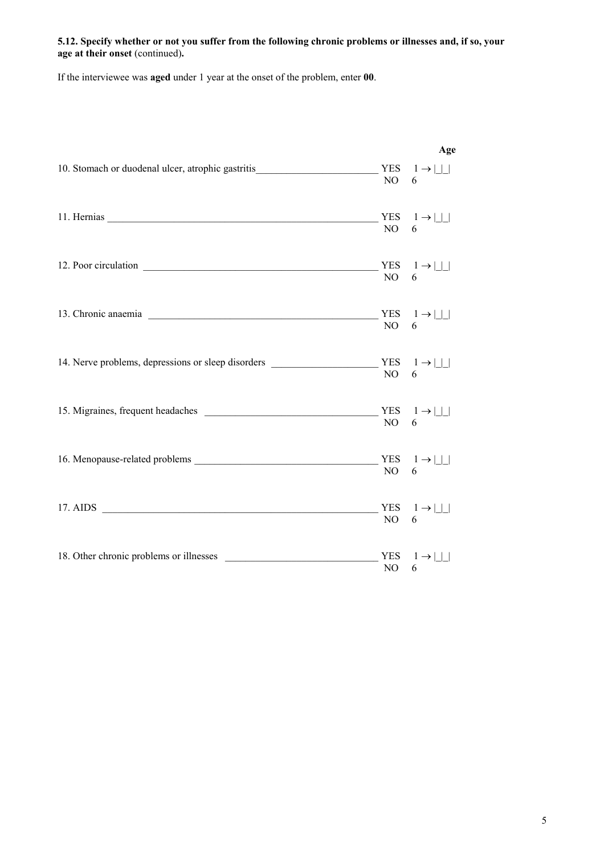# **5.12. Specify whether or not you suffer from the following chronic problems or illnesses and, if so, your age at their onset** (continued)**.**

If the interviewee was **aged** under 1 year at the onset of the problem, enter **00**.

| 10. Stomach or duodenal ulcer, atrophic gastritis $\begin{array}{c} \text{YES} \\ \text{1} \rightarrow \text{1} \end{array}$ | NO | Age<br>6                                   |
|------------------------------------------------------------------------------------------------------------------------------|----|--------------------------------------------|
|                                                                                                                              | NO | YES $1 \rightarrow   \_  $<br>$6 \quad$    |
|                                                                                                                              |    | YES $1 \rightarrow   \_  $<br>NO $6$       |
| 13. Chronic anaemia                                                                                                          |    | YES $1 \rightarrow   \_  $<br>NO 6         |
| 14. Nerve problems, depressions or sleep disorders _____________________________                                             |    | YES $1 \rightarrow   \_  $<br>NO 6         |
|                                                                                                                              | NO | YES $1 \rightarrow   \_  $<br>$6\degree$   |
|                                                                                                                              |    | YES $1 \rightarrow   \_  $<br>NO 6         |
| 17. AIDS                                                                                                                     | NO | YES $1 \rightarrow \Box$<br>6              |
| 18. Other chronic problems or illnesses                                                                                      | NO | YES $1 \rightarrow \Box$<br>6 <sup>6</sup> |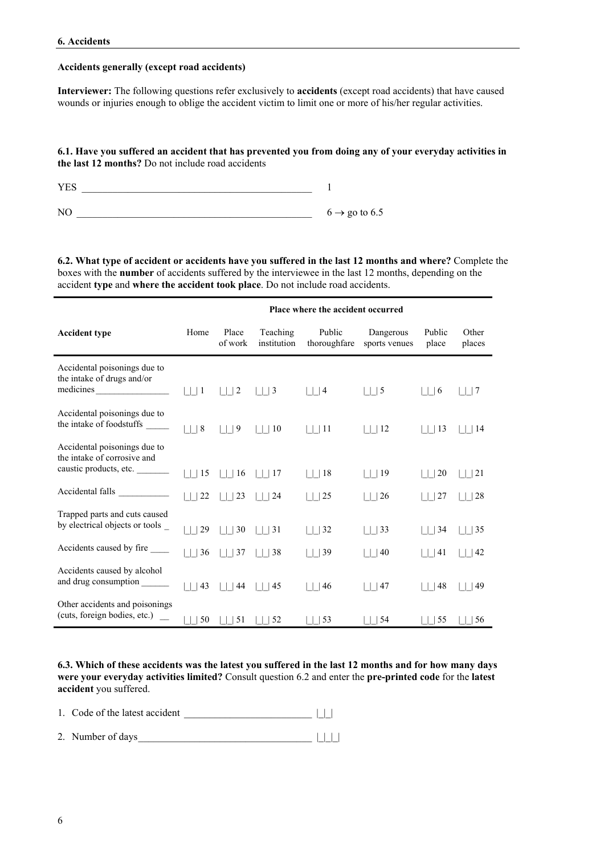# **Accidents generally (except road accidents)**

**Interviewer:** The following questions refer exclusively to **accidents** (except road accidents) that have caused wounds or injuries enough to oblige the accident victim to limit one or more of his/her regular activities.

# **6.1. Have you suffered an accident that has prevented you from doing any of your everyday activities in the last 12 months?** Do not include road accidents

| <b>YES</b>     |                           |
|----------------|---------------------------|
|                |                           |
| N <sub>O</sub> | $6 \rightarrow$ go to 6.5 |

**6.2. What type of accident or accidents have you suffered in the last 12 months and where?** Complete the boxes with the **number** of accidents suffered by the interviewee in the last 12 months, depending on the accident **type** and **where the accident took place**. Do not include road accidents.

|                                                                                       | Place where the accident occurred |                       |                            |                            |                                   |                   |                    |
|---------------------------------------------------------------------------------------|-----------------------------------|-----------------------|----------------------------|----------------------------|-----------------------------------|-------------------|--------------------|
| <b>Accident type</b>                                                                  | Home                              | Place<br>of work      | Teaching<br>institution    | thoroughfare               | Public Dangerous<br>sports venues | Public<br>place   | Other<br>places    |
| Accidental poisonings due to<br>the intake of drugs and/or                            |                                   | $\vert \vert \vert 2$ | $\vert \vert$   3          | $\vert \vert$   4          | $\left  \ \right $   5            | $\vert \vert$   6 | 7                  |
| Accidental poisonings due to<br>the intake of foodstuffs                              | $\vert \vert \vert 8$             | $ $     9             | $\vert$   $\vert$ 10       | 111                        | $\vert \vert$   12                | 13                | $\vert \vert$   14 |
| Accidental poisonings due to<br>the intake of corrosive and<br>caustic products, etc. | 15                                | 1116                  | $\vert$ $\vert$ $\vert$ 17 | $\vert \vert$   18         | 19                                | 20                | 21                 |
| Accidental falls                                                                      | $\vert \vert$<br>22               | $\vert \vert$   23    | $\vert$   24               | 25                         | $\vert \vert$   26                | 27                | 28                 |
| Trapped parts and cuts caused<br>by electrical objects or tools _                     | 29                                | $\vert \vert$   30    | 31                         | $\vert 32 \vert$<br>$\Box$ | 33                                | 34                | $\vert$ 35         |
| Accidents caused by fire ______                                                       | 36                                | $\vert$     37        | 38                         | $\vert$   39               | 40                                | 41                | 42                 |
| Accidents caused by alcohol<br>and drug consumption ______                            | 43                                | $\vert$   $\vert$ 44  | $\vert$   $\vert$ 45       | $\vert$ $\vert$ 46         | 47                                | 48                | 49                 |
| Other accidents and poisonings<br>(cuts, foreign bodies, etc.)                        | 50                                | 51                    | 52                         | 53                         | 54                                | 55                | 56                 |

**6.3. Which of these accidents was the latest you suffered in the last 12 months and for how many days were your everyday activities limited?** Consult question 6.2 and enter the **pre-printed code** for the **latest accident** you suffered.

1. Code of the latest accident  $\Box$ 

2. Number of days\_\_\_\_\_\_\_\_\_\_\_\_\_\_\_\_\_\_\_\_\_\_\_\_\_\_\_\_\_\_\_\_\_\_ |\_|\_|\_|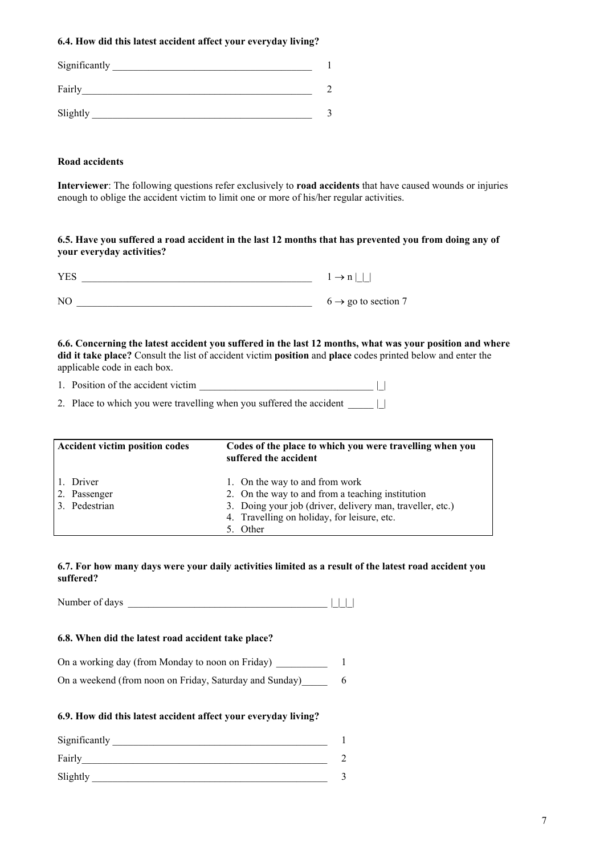# **6.4. How did this latest accident affect your everyday living?**

| Significantly |  |
|---------------|--|
| Fairly        |  |
| Slightly      |  |

# **Road accidents**

**Interviewer**: The following questions refer exclusively to **road accidents** that have caused wounds or injuries enough to oblige the accident victim to limit one or more of his/her regular activities.

# **6.5. Have you suffered a road accident in the last 12 months that has prevented you from doing any of your everyday activities?**

| <b>YES</b> | $1 \rightarrow n$               |
|------------|---------------------------------|
| NO         | $6 \rightarrow$ go to section 7 |

**6.6. Concerning the latest accident you suffered in the last 12 months, what was your position and where did it take place?** Consult the list of accident victim **position** and **place** codes printed below and enter the applicable code in each box.

| 1. Position of the accident victim |  |  |
|------------------------------------|--|--|
|                                    |  |  |

2. Place to which you were travelling when you suffered the accident \_\_\_\_\_ |\_|

| <b>Accident victim position codes</b>      | Codes of the place to which you were travelling when you<br>suffered the accident                                                                                                                          |
|--------------------------------------------|------------------------------------------------------------------------------------------------------------------------------------------------------------------------------------------------------------|
| 1. Driver<br>2. Passenger<br>3. Pedestrian | 1. On the way to and from work<br>2. On the way to and from a teaching institution<br>3. Doing your job (driver, delivery man, traveller, etc.)<br>4. Travelling on holiday, for leisure, etc.<br>5. Other |

# **6.7. For how many days were your daily activities limited as a result of the latest road accident you suffered?**

Number of days \_\_\_\_\_\_\_\_\_\_\_\_\_\_\_\_\_\_\_\_\_\_\_\_\_\_\_\_\_\_\_\_\_\_\_\_\_\_\_ |\_|\_|\_|

# **6.8. When did the latest road accident take place?**

| On a working day (from Monday to noon on Friday) |  |
|--------------------------------------------------|--|
|                                                  |  |

| On a weekend (from noon on Friday, Saturday and Sunday) |  |  |  |  |
|---------------------------------------------------------|--|--|--|--|
|---------------------------------------------------------|--|--|--|--|

# **6.9. How did this latest accident affect your everyday living?**

| Significantly |  |
|---------------|--|
| Fairly        |  |
| Slightly      |  |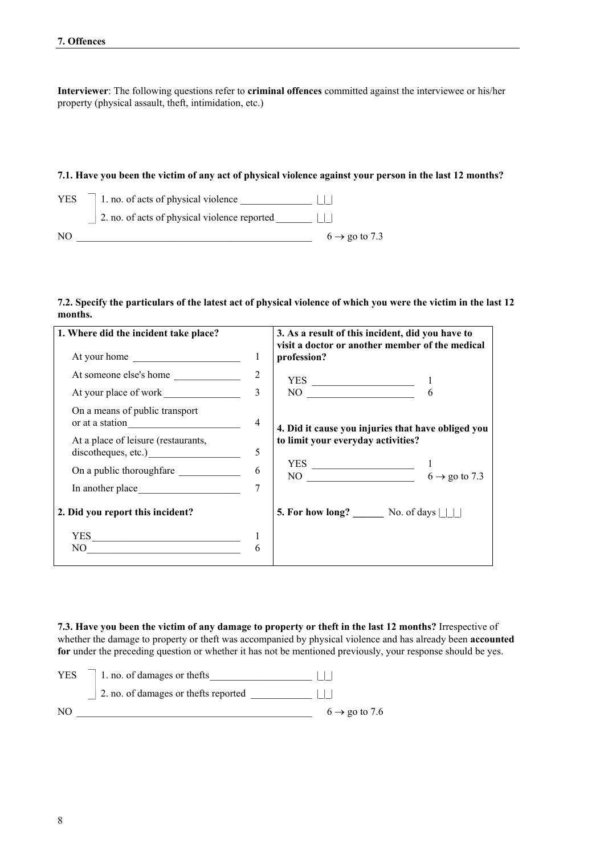**Interviewer**: The following questions refer to **criminal offences** committed against the interviewee or his/her property (physical assault, theft, intimidation, etc.)

# **7.1. Have you been the victim of any act of physical violence against your person in the last 12 months?**

| <b>YES</b> | 1. no. of acts of physical violence          |
|------------|----------------------------------------------|
|            | 2. no. of acts of physical violence reported |
| NO.        | $6 \rightarrow$ go to 7.3                    |

# **7.2. Specify the particulars of the latest act of physical violence of which you were the victim in the last 12 months.**

| 1. Where did the incident take place?                      |                | 3. As a result of this incident, did you have to<br>visit a doctor or another member of the medical                                                                                                                                                                                                                                                                                                 |  |
|------------------------------------------------------------|----------------|-----------------------------------------------------------------------------------------------------------------------------------------------------------------------------------------------------------------------------------------------------------------------------------------------------------------------------------------------------------------------------------------------------|--|
| At your home                                               | 1              | profession?                                                                                                                                                                                                                                                                                                                                                                                         |  |
| At someone else's home                                     | 2              |                                                                                                                                                                                                                                                                                                                                                                                                     |  |
| At your place of work                                      | $\mathcal{E}$  | $\begin{array}{c}\nYES \longrightarrow 1 \\ NO \longrightarrow 6\n\end{array}$                                                                                                                                                                                                                                                                                                                      |  |
| On a means of public transport<br>or at a station          | $\overline{4}$ | 4. Did it cause you injuries that have obliged you                                                                                                                                                                                                                                                                                                                                                  |  |
| At a place of leisure (restaurants,<br>discotheques, etc.) | 5              | to limit your everyday activities?                                                                                                                                                                                                                                                                                                                                                                  |  |
| On a public thoroughfare 6                                 |                | YES $\overline{NO}$ $\overline{AO}$ $\overline{AO}$ $\overline{AO}$ $\overline{OO}$ $\overline{OO}$ $\overline{OO}$ $\overline{OO}$ $\overline{OO}$ $\overline{OO}$ $\overline{OO}$ $\overline{OO}$ $\overline{OO}$ $\overline{OO}$ $\overline{OO}$ $\overline{OO}$ $\overline{OO}$ $\overline{OO}$ $\overline{OO}$ $\overline{OO}$ $\overline{OO}$ $\overline{OO}$ $\overline{OO}$ $\overline{OO}$ |  |
|                                                            | $\tau$         |                                                                                                                                                                                                                                                                                                                                                                                                     |  |
| 2. Did you report this incident?                           |                | 5. For how long? $\qquad \qquad$ No. of days $\Box$                                                                                                                                                                                                                                                                                                                                                 |  |
| YES                                                        |                |                                                                                                                                                                                                                                                                                                                                                                                                     |  |
| $\begin{tabular}{c} NO \\ \hline \end{tabular}$            | 6              |                                                                                                                                                                                                                                                                                                                                                                                                     |  |

**7.3. Have you been the victim of any damage to property or theft in the last 12 months?** Irrespective of whether the damage to property or theft was accompanied by physical violence and has already been **accounted** for under the preceding question or whether it has not be mentioned previously, your response should be yes.

| <b>YES</b>     | 1. no. of damages or thefts           |                           |
|----------------|---------------------------------------|---------------------------|
|                | 2. no. of damages or the fts reported |                           |
| N <sub>O</sub> |                                       | $6 \rightarrow$ go to 7.6 |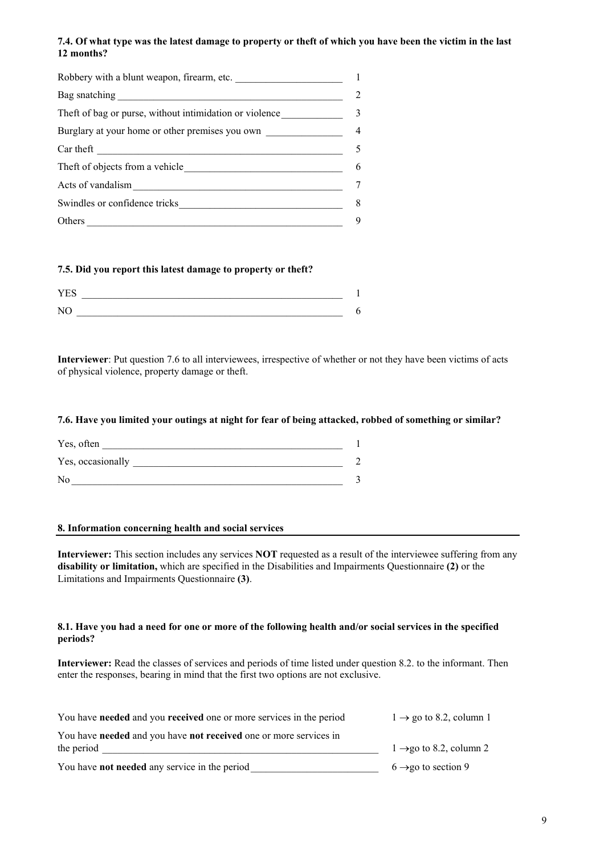# **7.4. Of what type was the latest damage to property or theft of which you have been the victim in the last 12 months?**

| Robbery with a blunt weapon, firearm, etc.                    |                |
|---------------------------------------------------------------|----------------|
|                                                               |                |
| The ft of bag or purse, without intimidation or violence      | 3              |
| Burglary at your home or other premises you own               | $\overline{4}$ |
| Car theft                                                     | 5              |
| The ft of objects from a vehicle                              | 6              |
| Acts of vandalism                                             |                |
| Swindles or confidence tricks                                 | 8              |
| Others<br><u> 1980 - Andrea Station, amerikansk politik (</u> | 9              |

# **7.5. Did you report this latest damage to property or theft?**

| $T/T \sim$ |  |
|------------|--|
| <b>T</b>   |  |

**Interviewer**: Put question 7.6 to all interviewees, irrespective of whether or not they have been victims of acts of physical violence, property damage or theft.

### **7.6. Have you limited your outings at night for fear of being attacked, robbed of something or similar?**

| Yes, often        |  |
|-------------------|--|
| Yes, occasionally |  |
| N <sub>0</sub>    |  |

### **8. Information concerning health and social services**

**Interviewer:** This section includes any services **NOT** requested as a result of the interviewee suffering from any **disability or limitation,** which are specified in the Disabilities and Impairments Questionnaire **(2)** or the Limitations and Impairments Questionnaire **(3)**.

### **8.1. Have you had a need for one or more of the following health and/or social services in the specified periods?**

**Interviewer:** Read the classes of services and periods of time listed under question 8.2. to the informant. Then enter the responses, bearing in mind that the first two options are not exclusive.

| You have <b>needed</b> and you <b>received</b> one or more services in the period | $1 \rightarrow$ go to 8.2, column 1 |
|-----------------------------------------------------------------------------------|-------------------------------------|
| You have needed and you have not received one or more services in                 |                                     |
| the period                                                                        | $1 \rightarrow$ go to 8.2, column 2 |
| You have <b>not needed</b> any service in the period                              | $6 \rightarrow$ go to section 9     |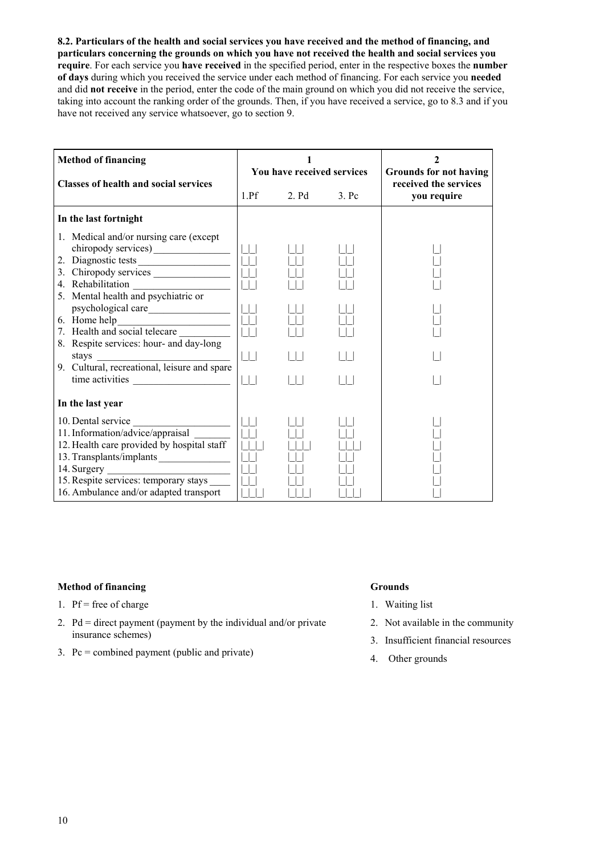**8.2. Particulars of the health and social services you have received and the method of financing, and particulars concerning the grounds on which you have not received the health and social services you require**. For each service you **have received** in the specified period, enter in the respective boxes the **number of days** during which you received the service under each method of financing. For each service you **needed** and did **not receive** in the period, enter the code of the main ground on which you did not receive the service, taking into account the ranking order of the grounds. Then, if you have received a service, go to 8.3 and if you have not received any service whatsoever, go to section 9.

| <b>Method of financing</b>                                                                                                                                                                                                                                                            |                                                                    | 1<br>You have received services |         | $\mathbf{2}$<br><b>Grounds for not having</b> |  |
|---------------------------------------------------------------------------------------------------------------------------------------------------------------------------------------------------------------------------------------------------------------------------------------|--------------------------------------------------------------------|---------------------------------|---------|-----------------------------------------------|--|
| <b>Classes of health and social services</b>                                                                                                                                                                                                                                          | 1.Pf                                                               | 2. Pd                           | $3.$ Pc | received the services<br>you require          |  |
| In the last fortnight                                                                                                                                                                                                                                                                 |                                                                    |                                 |         |                                               |  |
| 1. Medical and/or nursing care (except)<br>2. Diagnostic tests<br>4. Rehabilitation<br>5. Mental health and psychiatric or<br>psychological care<br>7. Health and social telecare<br>8. Respite services: hour- and day-long<br>stays<br>9. Cultural, recreational, leisure and spare | $\Box$<br>$\begin{array}{c} \square \square \end{array}$<br>$\Box$ |                                 |         |                                               |  |
| In the last year                                                                                                                                                                                                                                                                      |                                                                    |                                 |         |                                               |  |
| 10. Dental service<br>11. Information/advice/appraisal<br>12. Health care provided by hospital staff<br>13. Transplants/implants<br>15. Respite services: temporary stays<br>16. Ambulance and/or adapted transport                                                                   |                                                                    |                                 |         |                                               |  |

# **Method of financing Grounds**

- 1.  $Pf = free of charge$
- 2.  $Pd =$  direct payment (payment by the individual and/or private insurance schemes)
- 3. Pc = combined payment (public and private)

- 1. Waiting list
- 2. Not available in the community
- 3. Insufficient financial resources
- 4. Other grounds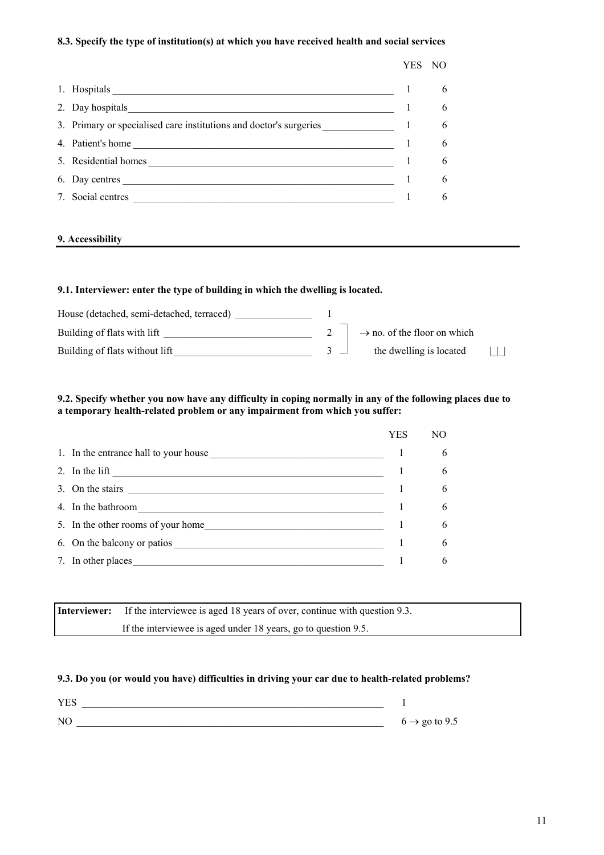# **8.3. Specify the type of institution(s) at which you have received health and social services**

|                                                                    | <b>YES</b> | NO |
|--------------------------------------------------------------------|------------|----|
|                                                                    |            | 6  |
| 2. Day hospitals                                                   |            | 6  |
| 3. Primary or specialised care institutions and doctor's surgeries |            | 6  |
| 4. Patient's home                                                  |            | 6  |
| 5. Residential homes                                               |            | 6  |
| 6. Day centres                                                     |            | 6  |
| 7. Social centres                                                  |            | 6  |
|                                                                    |            |    |

# **9. Accessibility**

# **9.1. Interviewer: enter the type of building in which the dwelling is located.**

| House (detached, semi-detached, terraced) |                                         |  |
|-------------------------------------------|-----------------------------------------|--|
| Building of flats with lift               | $\rightarrow$ no. of the floor on which |  |
| Building of flats without lift            | the dwelling is located                 |  |

# **9.2. Specify whether you now have any difficulty in coping normally in any of the following places due to a temporary health-related problem or any impairment from which you suffer:**

|                                                                                                                                                                                                                                                                                            | YES | NO |
|--------------------------------------------------------------------------------------------------------------------------------------------------------------------------------------------------------------------------------------------------------------------------------------------|-----|----|
| 1. In the entrance hall to your house                                                                                                                                                                                                                                                      |     | 6  |
| 2. In the lift<br><u> 2008 - Andrea Station Barbara, amerikan personal di personal dengan personal di personal dengan personal di p</u>                                                                                                                                                    |     | 6  |
| 3. On the stairs $\frac{1}{2}$ and $\frac{1}{2}$ and $\frac{1}{2}$ and $\frac{1}{2}$ and $\frac{1}{2}$ and $\frac{1}{2}$ and $\frac{1}{2}$ and $\frac{1}{2}$ and $\frac{1}{2}$ and $\frac{1}{2}$ and $\frac{1}{2}$ and $\frac{1}{2}$ and $\frac{1}{2}$ and $\frac{1}{2}$ and $\frac{1}{2}$ |     | 6  |
| 4. In the bathroom                                                                                                                                                                                                                                                                         |     | 6  |
| 5. In the other rooms of your home                                                                                                                                                                                                                                                         |     | 6  |
| 6. On the balcony or patios                                                                                                                                                                                                                                                                |     | 6  |
| 7. In other places                                                                                                                                                                                                                                                                         |     | 6  |

| <b>Interviewer:</b> If the interviewee is aged 18 years of over, continue with question 9.3. |
|----------------------------------------------------------------------------------------------|
| If the interviewee is aged under 18 years, go to question 9.5.                               |

# **9.3. Do you (or would you have) difficulties in driving your car due to health-related problems?**

| VE <sup>2</sup><br>I EQ    |                           |
|----------------------------|---------------------------|
| $\overline{\rm M}$<br>19 U | $6 \rightarrow$ go to 9.5 |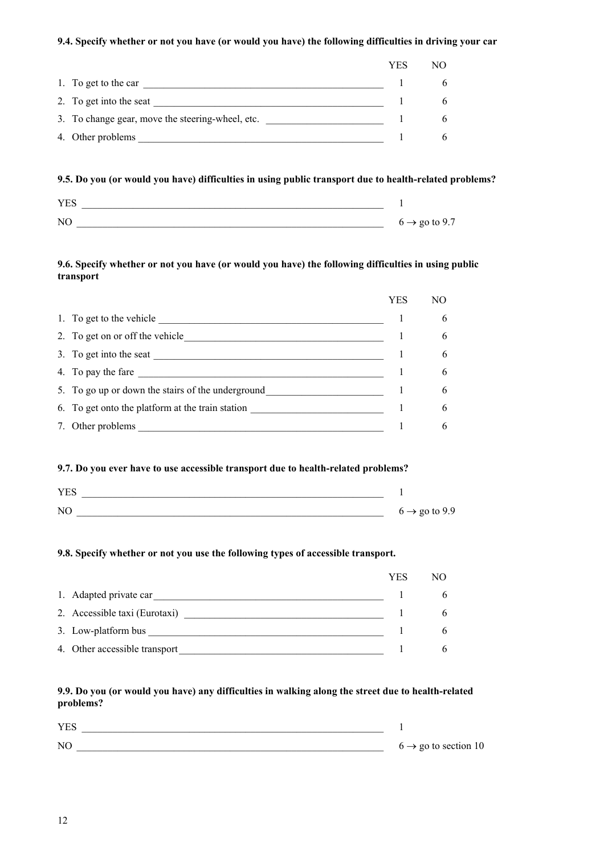# **9.4. Specify whether or not you have (or would you have) the following difficulties in driving your car**

|                                                  | YES | NO. |
|--------------------------------------------------|-----|-----|
| 1. To get to the car                             |     |     |
| 2. To get into the seat                          |     | 6   |
| 3. To change gear, move the steering-wheel, etc. |     | 6   |
| 4. Other problems                                |     | 6   |

# **9.5. Do you (or would you have) difficulties in using public transport due to health-related problems?**

| $\mathbf{V}$             |                                 |
|--------------------------|---------------------------------|
| $\overline{\rm M}$<br>-- | $6 \rightarrow \text{go to }$ . |

# **9.6. Specify whether or not you have (or would you have) the following difficulties in using public transport**

|                                                   | YES | NО |
|---------------------------------------------------|-----|----|
| 1. To get to the vehicle                          |     | 6  |
| 2. To get on or off the vehicle                   |     | 6  |
| 3. To get into the seat                           |     | 6  |
| 4. To pay the fare                                |     | 6  |
| 5. To go up or down the stairs of the underground |     | 6  |
| 6. To get onto the platform at the train station  |     | 6  |
| 7. Other problems                                 |     | 6  |

# **9.7. Do you ever have to use accessible transport due to health-related problems?**

| <b>YES</b>     |                           |
|----------------|---------------------------|
| N <sub>C</sub> | $6 \rightarrow$ go to 9.9 |

# **9.8. Specify whether or not you use the following types of accessible transport.**

|                               | YES | NΟ |
|-------------------------------|-----|----|
| 1. Adapted private car        |     | 6. |
| 2. Accessible taxi (Eurotaxi) |     | 6. |
| 3. Low-platform bus           |     | h. |
| 4. Other accessible transport |     |    |

# **9.9. Do you (or would you have) any difficulties in walking along the street due to health-related problems?**

| <b>YES</b> |                                  |
|------------|----------------------------------|
| NC         | $6 \rightarrow$ go to section 10 |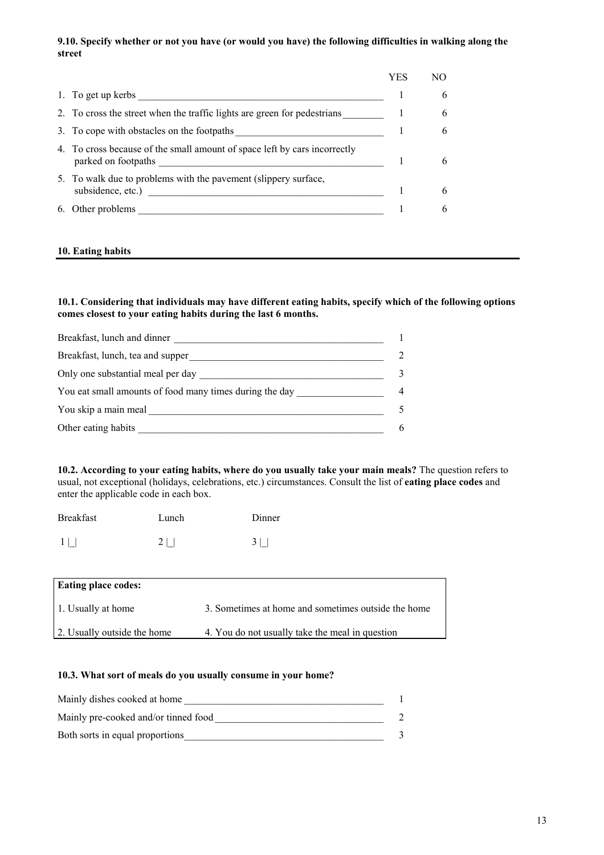# **9.10. Specify whether or not you have (or would you have) the following difficulties in walking along the street**

|    |                                                                                                  | YES |   |
|----|--------------------------------------------------------------------------------------------------|-----|---|
|    | 1. To get up kerbs                                                                               |     | 6 |
|    | 2. To cross the street when the traffic lights are green for pedestrians                         |     | 6 |
|    | 3. To cope with obstacles on the footpaths                                                       |     | 6 |
|    | 4. To cross because of the small amount of space left by cars incorrectly<br>parked on footpaths |     | 6 |
|    | 5. To walk due to problems with the pavement (slippery surface,<br>subsidence, etc.)             |     | 6 |
| 6. | Other problems                                                                                   |     | 6 |
|    |                                                                                                  |     |   |

# **10. Eating habits**

**10.1. Considering that individuals may have different eating habits, specify which of the following options comes closest to your eating habits during the last 6 months.**

| Breakfast, lunch and dinner                             |               |
|---------------------------------------------------------|---------------|
| Breakfast, lunch, tea and supper                        | $\mathcal{D}$ |
| Only one substantial meal per day                       | 3             |
| You eat small amounts of food many times during the day | 4             |
| You skip a main meal                                    |               |
| Other eating habits                                     | 6             |

**10.2. According to your eating habits, where do you usually take your main meals?** The question refers to usual, not exceptional (holidays, celebrations, etc.) circumstances. Consult the list of **eating place codes** and enter the applicable code in each box.

| <b>Breakfast</b> | Lunch          | Dinner   |
|------------------|----------------|----------|
| $1\vert$         | 2 <sup>1</sup> | $3 \mid$ |

| <b>Eating place codes:</b>  |                                                     |
|-----------------------------|-----------------------------------------------------|
| 1. Usually at home          | 3. Sometimes at home and sometimes outside the home |
| 2. Usually outside the home | 4. You do not usually take the meal in question     |

# **10.3. What sort of meals do you usually consume in your home?**

| Mainly dishes cooked at home         |  |
|--------------------------------------|--|
| Mainly pre-cooked and/or tinned food |  |
| Both sorts in equal proportions      |  |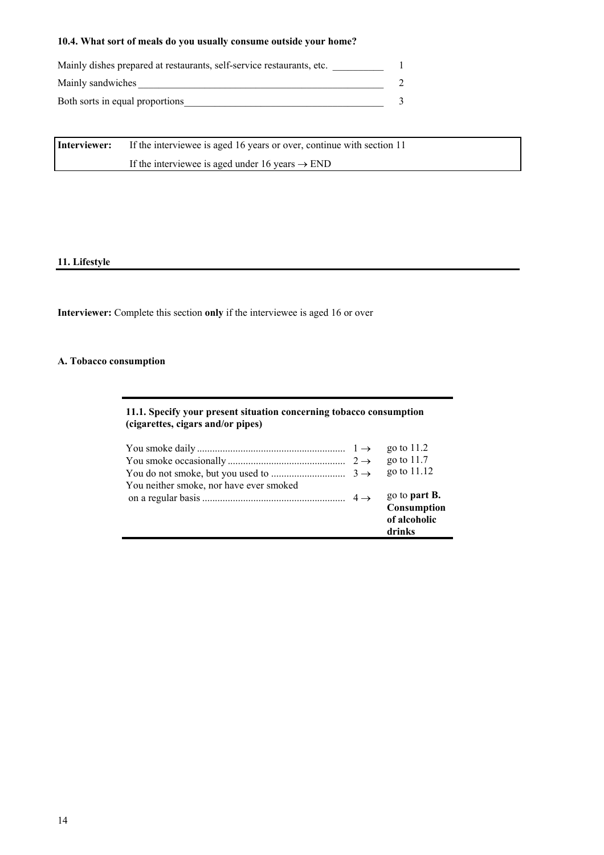# **10.4. What sort of meals do you usually consume outside your home?**

| Mainly dishes prepared at restaurants, self-service restaurants, etc. |  |
|-----------------------------------------------------------------------|--|
| Mainly sandwiches                                                     |  |
| Both sorts in equal proportions                                       |  |

**Interviewer:** If the interviewee is aged 16 years or over, continue with section 11 If the interviewee is aged under 16 years  $\rightarrow$  END

# **11. Lifestyle**

**Interviewer:** Complete this section **only** if the interviewee is aged 16 or over

# **A. Tobacco consumption**

# **11.1. Specify your present situation concerning tobacco consumption (cigarettes, cigars and/or pipes)**

|                                         | go to $11.2$         |
|-----------------------------------------|----------------------|
|                                         | go to $11.7$         |
|                                         | go to 11.12          |
| You neither smoke, nor have ever smoked |                      |
|                                         | go to <b>part B.</b> |
|                                         | Consumption          |
|                                         | of alcoholic         |
|                                         | drinks               |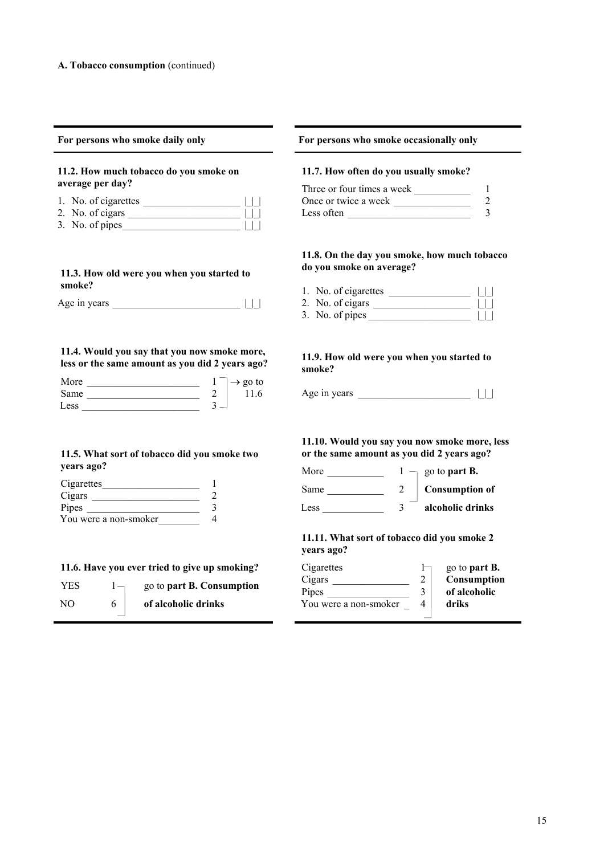| For persons who smoke daily only                                                                                                                                                                                                                       | For persons who smoke occasionally only<br>11.7. How often do you usually smoke?                                                                  |  |  |  |
|--------------------------------------------------------------------------------------------------------------------------------------------------------------------------------------------------------------------------------------------------------|---------------------------------------------------------------------------------------------------------------------------------------------------|--|--|--|
| 11.2. How much tobacco do you smoke on                                                                                                                                                                                                                 |                                                                                                                                                   |  |  |  |
| average per day?                                                                                                                                                                                                                                       | Three or four times a week<br>-1                                                                                                                  |  |  |  |
| 1. No. of cigarettes $\Box$                                                                                                                                                                                                                            | $\overline{2}$<br>Once or twice a week                                                                                                            |  |  |  |
| 2. No. of cigars $\qquad \qquad \qquad$<br>3. No. of pipes                                                                                                                                                                                             | 3<br>Less often                                                                                                                                   |  |  |  |
| 11.3. How old were you when you started to                                                                                                                                                                                                             | 11.8. On the day you smoke, how much tobacc<br>do you smoke on average?                                                                           |  |  |  |
| smoke?                                                                                                                                                                                                                                                 |                                                                                                                                                   |  |  |  |
|                                                                                                                                                                                                                                                        | 1. No. of cigarettes $\Box$                                                                                                                       |  |  |  |
| Age in years $\Box$                                                                                                                                                                                                                                    | 2. No. of cigars $\qquad \qquad \qquad \Box$<br>3. No. of pipes $\qquad \qquad \qquad$                                                            |  |  |  |
| 11.4. Would you say that you now smoke more,<br>less or the same amount as you did 2 years ago?<br>Same $\frac{2}{1}$<br>11.6<br>11.5. What sort of tobacco did you smoke two<br>years ago?<br>Cigarettes<br>$\overline{2}$<br>$\overline{3}$<br>Pipes | 11.9. How old were you when you started to<br>smoke?<br>11.10. Would you say you now smoke more, le<br>or the same amount as you did 2 years ago? |  |  |  |
| You were a non-smoker<br>$\overline{4}$                                                                                                                                                                                                                | 11.11. What sort of tobacco did you smoke 2<br>years ago?                                                                                         |  |  |  |
| 11.6. Have you ever tried to give up smoking?                                                                                                                                                                                                          | Cigarettes<br>go to part B.                                                                                                                       |  |  |  |
| YES $1-\qquad$ go to part B. Consumption                                                                                                                                                                                                               | $\overline{2}$<br>Consumption<br>Cigars                                                                                                           |  |  |  |
|                                                                                                                                                                                                                                                        | Pipes<br>of alcoholic<br>3<br>driks<br>You were a non-smoker<br>$\overline{4}$                                                                    |  |  |  |
| of alcoholic drinks<br>NO<br>6                                                                                                                                                                                                                         |                                                                                                                                                   |  |  |  |

# **11.8. On the day you smoke, how much tobacco**

# **11.10. Would you say you now smoke more, less**

| Cigarettes            |   | go to <b>part B.</b> |
|-----------------------|---|----------------------|
| Cigars                |   | Consumption          |
| Pipes                 | 3 | of alcoholic         |
| You were a non-smoker |   | driks                |
|                       |   |                      |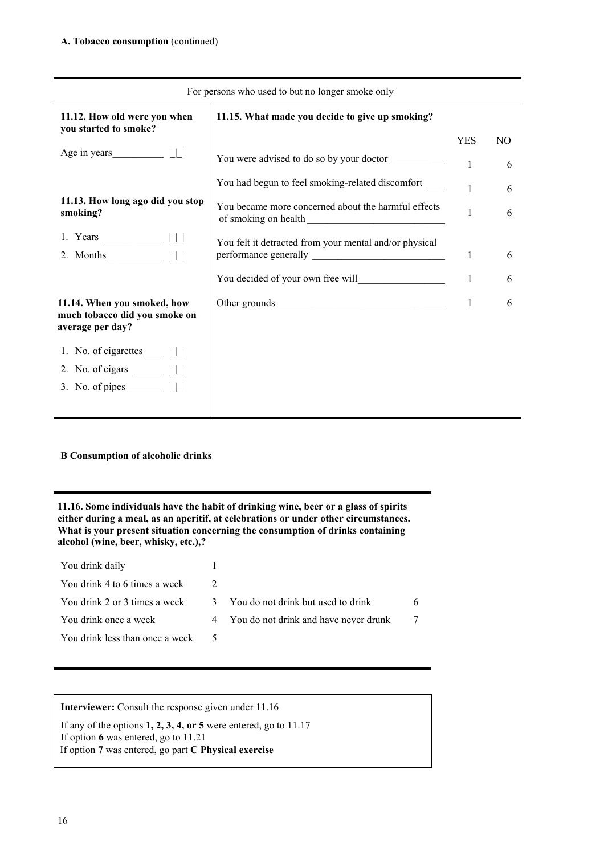| For persons who used to but no longer smoke only      |                                                                                                                                                                                                                                |              |     |  |
|-------------------------------------------------------|--------------------------------------------------------------------------------------------------------------------------------------------------------------------------------------------------------------------------------|--------------|-----|--|
| 11.12. How old were you when<br>you started to smoke? | 11.15. What made you decide to give up smoking?                                                                                                                                                                                |              |     |  |
|                                                       |                                                                                                                                                                                                                                | <b>YES</b>   | NO. |  |
| Age in years $\Box$                                   | You were advised to do so by your doctor                                                                                                                                                                                       | $\mathbf{1}$ | 6   |  |
|                                                       | You had begun to feel smoking-related discomfort ______                                                                                                                                                                        |              | 6   |  |
| 11.13. How long ago did you stop<br>smoking?          | You became more concerned about the harmful effects                                                                                                                                                                            | $\mathbf{1}$ | 6   |  |
|                                                       | You felt it detracted from your mental and/or physical                                                                                                                                                                         |              |     |  |
| 2. Months $\Box$                                      |                                                                                                                                                                                                                                | 1            | 6   |  |
|                                                       |                                                                                                                                                                                                                                | 1            | 6   |  |
| 11.14. When you smoked, how                           | Other grounds and the set of the set of the set of the set of the set of the set of the set of the set of the set of the set of the set of the set of the set of the set of the set of the set of the set of the set of the se | 1            | 6   |  |
| much tobacco did you smoke on<br>average per day?     |                                                                                                                                                                                                                                |              |     |  |
|                                                       |                                                                                                                                                                                                                                |              |     |  |
| 2. No. of cigars $\Box$                               |                                                                                                                                                                                                                                |              |     |  |
| 3. No. of pipes $\Box$                                |                                                                                                                                                                                                                                |              |     |  |
|                                                       |                                                                                                                                                                                                                                |              |     |  |

# **B Consumption of alcoholic drinks**

**11.16. Some individuals have the habit of drinking wine, beer or a glass of spirits either during a meal, as an aperitif, at celebrations or under other circumstances. What is your present situation concerning the consumption of drinks containing alcohol (wine, beer, whisky, etc.),?**

| You drink daily                 |                                         |  |
|---------------------------------|-----------------------------------------|--|
| You drink 4 to 6 times a week   |                                         |  |
| You drink 2 or 3 times a week   | 3 You do not drink but used to drink    |  |
| You drink once a week           | 4 You do not drink and have never drunk |  |
| You drink less than once a week |                                         |  |

**Interviewer:** Consult the response given under 11.16

If any of the options **1, 2, 3, 4, or 5** were entered, go to 11.17 If option **6** was entered, go to 11.21 If option **7** was entered, go part **C Physical exercise**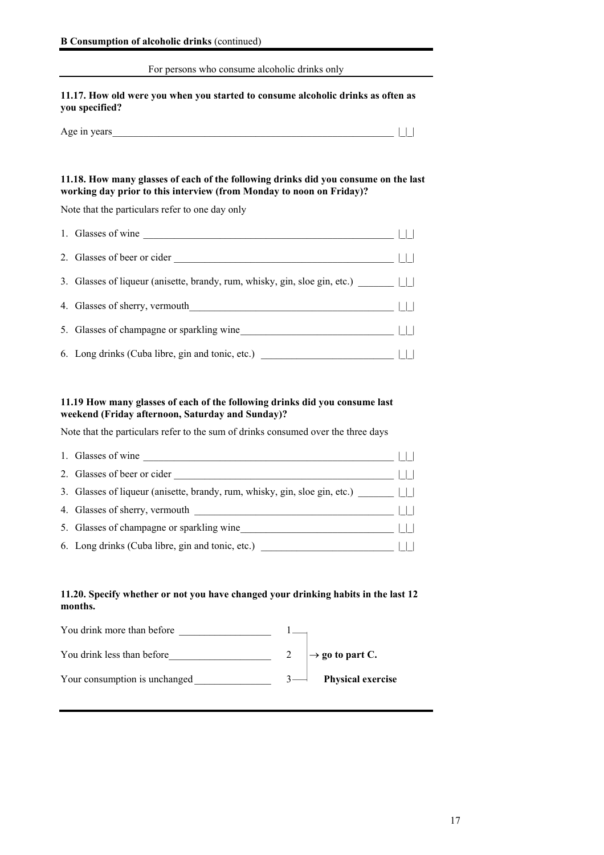### For persons who consume alcoholic drinks only

# **11.17. How old were you when you started to consume alcoholic drinks as often as you specified?**

| Age in years |  |  |
|--------------|--|--|
|--------------|--|--|

# **11.18. How many glasses of each of the following drinks did you consume on the last working day prior to this interview (from Monday to noon on Friday)?**

Note that the particulars refer to one day only

| 1. Glasses of wine                                                               |  |
|----------------------------------------------------------------------------------|--|
| 2. Glasses of beer or cider                                                      |  |
|                                                                                  |  |
| 4. Glasses of sherry, vermouth                                                   |  |
| 5. Glasses of champagne or sparkling wine                                        |  |
| 6. Long drinks (Cuba libre, gin and tonic, etc.) _______________________________ |  |

# **11.19 How many glasses of each of the following drinks did you consume last weekend (Friday afternoon, Saturday and Sunday)?**

Note that the particulars refer to the sum of drinks consumed over the three days

| 1. Glasses of wine                                                         |  |
|----------------------------------------------------------------------------|--|
| 2. Glasses of beer or cider                                                |  |
| 3. Glasses of liqueur (anisette, brandy, rum, whisky, gin, sloe gin, etc.) |  |
| 4. Glasses of sherry, vermouth                                             |  |
| 5. Glasses of champagne or sparkling wine                                  |  |
| 6. Long drinks (Cuba libre, gin and tonic, etc.)                           |  |

# **11.20. Specify whether or not you have changed your drinking habits in the last 12 months.**

| You drink more than before    |                             |
|-------------------------------|-----------------------------|
| You drink less than before    | $\rightarrow$ go to part C. |
| Your consumption is unchanged | <b>Physical exercise</b>    |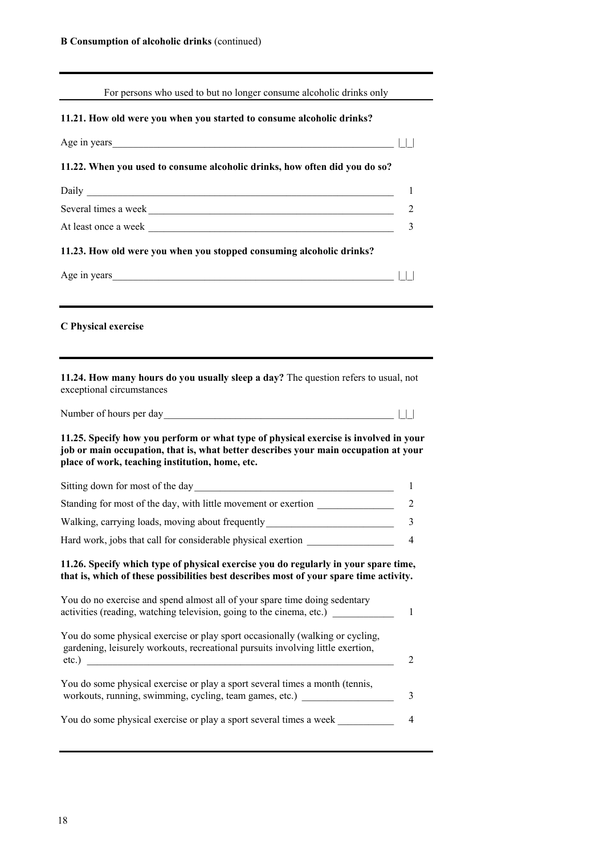| For persons who used to but no longer consume alcoholic drinks only                                                                                                                                                            |                |
|--------------------------------------------------------------------------------------------------------------------------------------------------------------------------------------------------------------------------------|----------------|
| 11.21. How old were you when you started to consume alcoholic drinks?                                                                                                                                                          |                |
|                                                                                                                                                                                                                                |                |
| 11.22. When you used to consume alcoholic drinks, how often did you do so?                                                                                                                                                     |                |
|                                                                                                                                                                                                                                | -1             |
| Several times a week                                                                                                                                                                                                           | 2              |
|                                                                                                                                                                                                                                | 3              |
| 11.23. How old were you when you stopped consuming alcoholic drinks?                                                                                                                                                           |                |
|                                                                                                                                                                                                                                |                |
|                                                                                                                                                                                                                                |                |
| C Physical exercise                                                                                                                                                                                                            |                |
| 11.24. How many hours do you usually sleep a day? The question refers to usual, not<br>exceptional circumstances                                                                                                               |                |
| 11.25. Specify how you perform or what type of physical exercise is involved in your<br>job or main occupation, that is, what better describes your main occupation at your<br>place of work, teaching institution, home, etc. |                |
|                                                                                                                                                                                                                                | 1              |
| Standing for most of the day, with little movement or exertion _________________                                                                                                                                               | $\overline{2}$ |
| Walking, carrying loads, moving about frequently                                                                                                                                                                               | 3              |
| Hard work, jobs that call for considerable physical exertion                                                                                                                                                                   | 4              |
| 11.26. Specify which type of physical exercise you do regularly in your spare time,<br>that is, which of these possibilities best describes most of your spare time activity.                                                  |                |
| You do no exercise and spend almost all of your spare time doing sedentary<br>activities (reading, watching television, going to the cinema, etc.)                                                                             | 1              |
| You do some physical exercise or play sport occasionally (walking or cycling,<br>gardening, leisurely workouts, recreational pursuits involving little exertion,<br>$etc.$ )                                                   | 2              |
| You do some physical exercise or play a sport several times a month (tennis,<br>workouts, running, swimming, cycling, team games, etc.)                                                                                        | 3              |
| You do some physical exercise or play a sport several times a week                                                                                                                                                             | 4              |